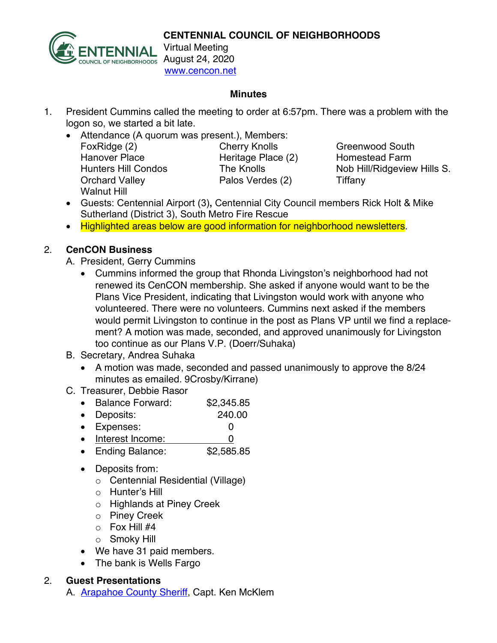

www.cencon.net

## **Minutes**

- 1. President Cummins called the meeting to order at 6:57pm. There was a problem with the logon so, we started a bit late.
	- Attendance (A quorum was present.), Members: FoxRidge (2) **Cherry Knolls** Greenwood South Hanover Place **Heritage Place (2)** Homestead Farm Hunters Hill Condos The Knolls Nob Hill/Ridgeview Hills S. Orchard Valley **Palos Verdes (2)** Tiffany Walnut Hill

- Guests: Centennial Airport (3)**,** Centennial City Council members Rick Holt & Mike Sutherland (District 3), South Metro Fire Rescue
- Highlighted areas below are good information for neighborhood newsletters.

## 2. **CenCON Business**

- A. President, Gerry Cummins
	- Cummins informed the group that Rhonda Livingston's neighborhood had not renewed its CenCON membership. She asked if anyone would want to be the Plans Vice President, indicating that Livingston would work with anyone who volunteered. There were no volunteers. Cummins next asked if the members would permit Livingston to continue in the post as Plans VP until we find a replacement? A motion was made, seconded, and approved unanimously for Livingston too continue as our Plans V.P. (Doerr/Suhaka)
- B. Secretary, Andrea Suhaka
	- A motion was made, seconded and passed unanimously to approve the 8/24 minutes as emailed. 9Crosby/Kirrane)
- C. Treasurer, Debbie Rasor
	- Balance Forward: \$2,345.85
	- Deposits: 240.00
	- Expenses: 0
	- Interest Income: 0
	- Ending Balance: \$2,585.85
	- Deposits from:
		- o Centennial Residential (Village)
		- o Hunter's Hill
		- o Highlands at Piney Creek
		- o Piney Creek
		- $\circ$  Fox Hill #4
		- o Smoky Hill
	- We have 31 paid members.
	- The bank is Wells Fargo

## 2. **Guest Presentations**

A. **Arapahoe County Sheriff**, Capt. Ken McKlem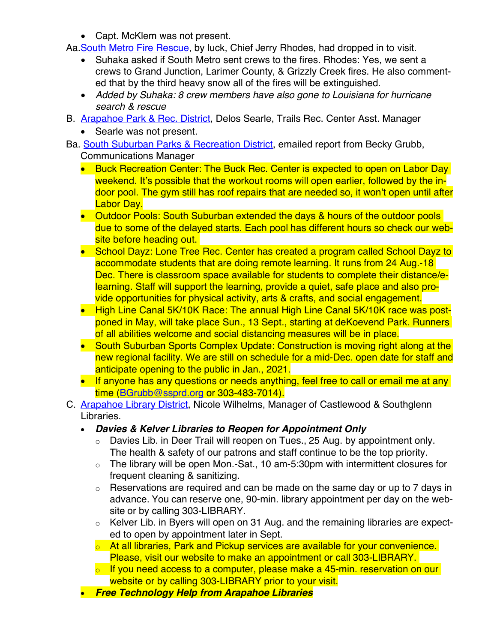• Capt. McKlem was not present.

Aa. South Metro Fire Rescue, by luck, Chief Jerry Rhodes, had dropped in to visit.

- Suhaka asked if South Metro sent crews to the fires. Rhodes: Yes, we sent a crews to Grand Junction, Larimer County, & Grizzly Creek fires. He also commented that by the third heavy snow all of the fires will be extinguished.
- *Added by Suhaka: 8 crew members have also gone to Louisiana for hurricane search & rescue*
- B. Arapahoe Park & Rec. District, Delos Searle, Trails Rec. Center Asst. Manager
	- Searle was not present.
- Ba. South Suburban Parks & Recreation District, emailed report from Becky Grubb, Communications Manager
	- Buck Recreation Center: The Buck Rec. Center is expected to open on Labor Day weekend. It's possible that the workout rooms will open earlier, followed by the indoor pool. The gym still has roof repairs that are needed so, it won't open until after Labor Day.
	- Outdoor Pools: South Suburban extended the days & hours of the outdoor pools due to some of the delayed starts. Each pool has different hours so check our website before heading out.
	- School Dayz: Lone Tree Rec. Center has created a program called School Dayz to accommodate students that are doing remote learning. It runs from 24 Aug.-18 Dec. There is classroom space available for students to complete their distance/elearning. Staff will support the learning, provide a quiet, safe place and also provide opportunities for physical activity, arts & crafts, and social engagement.
	- High Line Canal 5K/10K Race: The annual High Line Canal 5K/10K race was postponed in May, will take place Sun., 13 Sept., starting at deKoevend Park. Runners of all abilities welcome and social distancing measures will be in place.
	- South Suburban Sports Complex Update: Construction is moving right along at the new regional facility. We are still on schedule for a mid-Dec. open date for staff and anticipate opening to the public in Jan., 2021.
	- If anyone has any questions or needs anything, feel free to call or email me at any time (BGrubb@ssprd.org or 303-483-7014).
- C. Arapahoe Library District, Nicole Wilhelms, Manager of Castlewood & Southglenn Libraries.
	- *Davies & Kelver Libraries to Reopen for Appointment Only*
		- $\circ$  Davies Lib. in Deer Trail will reopen on Tues., 25 Aug. by appointment only. The health & safety of our patrons and staff continue to be the top priority.
		- o The library will be open Mon.-Sat., 10 am-5:30pm with intermittent closures for frequent cleaning & sanitizing.
		- $\circ$  Reservations are required and can be made on the same day or up to 7 days in advance. You can reserve one, 90-min. library appointment per day on the website or by calling 303-LIBRARY.
		- o Kelver Lib. in Byers will open on 31 Aug. and the remaining libraries are expected to open by appointment later in Sept.
		- $\circ$  At all libraries. Park and Pickup services are available for your convenience. Please, visit our website to make an appointment or call 303-LIBRARY.
		- $\circ$  If you need access to a computer, please make a 45-min. reservation on our website or by calling 303-LIBRARY prior to your visit.
	- *Free Technology Help from Arapahoe Libraries*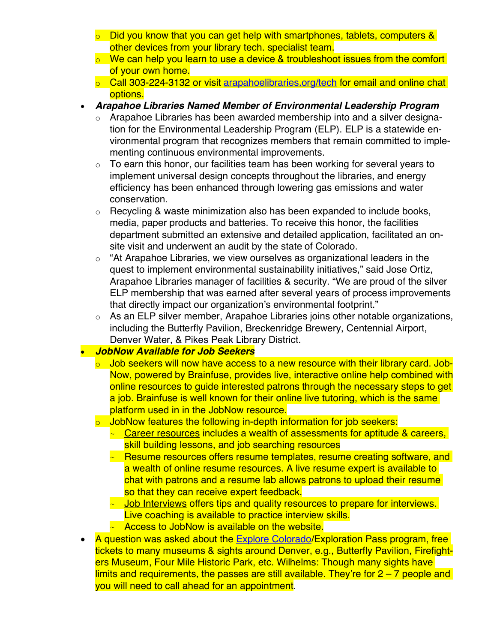- o Did you know that you can get help with smartphones, tablets, computers & other devices from your library tech. specialist team.
- $\circ$  We can help you learn to use a device & troubleshoot issues from the comfort of your own home.
- $\circ$  Call 303-224-3132 or visit arapahoelibraries.org/tech for email and online chat options.
- *Arapahoe Libraries Named Member of Environmental Leadership Program*
	- Arapahoe Libraries has been awarded membership into and a silver designation for the Environmental Leadership Program (ELP). ELP is a statewide environmental program that recognizes members that remain committed to implementing continuous environmental improvements.
	- $\circ$  To earn this honor, our facilities team has been working for several years to implement universal design concepts throughout the libraries, and energy efficiency has been enhanced through lowering gas emissions and water conservation.
	- o Recycling & waste minimization also has been expanded to include books, media, paper products and batteries. To receive this honor, the facilities department submitted an extensive and detailed application, facilitated an onsite visit and underwent an audit by the state of Colorado.
	- $\circ$  "At Arapahoe Libraries, we view ourselves as organizational leaders in the quest to implement environmental sustainability initiatives," said Jose Ortiz, Arapahoe Libraries manager of facilities & security. "We are proud of the silver ELP membership that was earned after several years of process improvements that directly impact our organization's environmental footprint."
	- $\circ$  As an ELP silver member, Arapahoe Libraries joins other notable organizations, including the Butterfly Pavilion, Breckenridge Brewery, Centennial Airport, Denver Water, & Pikes Peak Library District.

## • *JobNow Available for Job Seekers*

- o Job seekers will now have access to a new resource with their library card. Job-Now, powered by Brainfuse, provides live, interactive online help combined with online resources to guide interested patrons through the necessary steps to get a job. Brainfuse is well known for their online live tutoring, which is the same platform used in in the JobNow resource.
- o JobNow features the following in-depth information for job seekers:
	- $\sim$  Career resources includes a wealth of assessments for aptitude & careers, skill building lessons, and job searching resources
	- ~ Resume resources offers resume templates, resume creating software, and a wealth of online resume resources. A live resume expert is available to chat with patrons and a resume lab allows patrons to upload their resume so that they can receive expert feedback.
	- $\sim$  Job Interviews offers tips and quality resources to prepare for interviews. Live coaching is available to practice interview skills.
	- $\sim$  Access to JobNow is available on the website.
- A question was asked about the Explore Colorado/Exploration Pass program, free tickets to many museums & sights around Denver, e.g., Butterfly Pavilion, Firefighters Museum, Four Mile Historic Park, etc. Wilhelms: Though many sights have limits and requirements, the passes are still available. They're for  $2 - 7$  people and you will need to call ahead for an appointment.